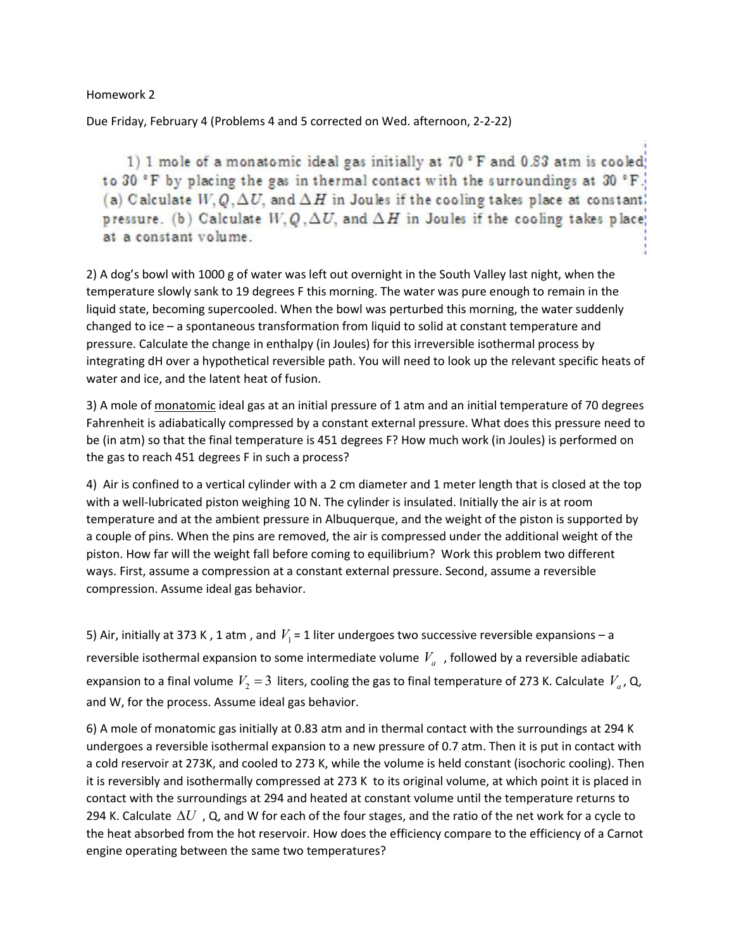Homework 2

Due Friday, February 4 (Problems 4 and 5 corrected on Wed. afternoon, 2-2-22)

1) 1 mole of a monatomic ideal gas initially at 70 °F and 0.83 atm is cooled; to 30 °F by placing the gas in thermal contact with the surroundings at 30 °F. (a) Calculate  $W, Q, \Delta U$ , and  $\Delta H$  in Joules if the cooling takes place at constant. pressure. (b) Calculate  $W, Q, \Delta U$ , and  $\Delta H$  in Joules if the cooling takes place; at a constant volume.

2) A dog's bowl with 1000 g of water was left out overnight in the South Valley last night, when the temperature slowly sank to 19 degrees F this morning. The water was pure enough to remain in the liquid state, becoming supercooled. When the bowl was perturbed this morning, the water suddenly changed to ice – a spontaneous transformation from liquid to solid at constant temperature and pressure. Calculate the change in enthalpy (in Joules) for this irreversible isothermal process by integrating dH over a hypothetical reversible path. You will need to look up the relevant specific heats of water and ice, and the latent heat of fusion.

3) A mole of monatomic ideal gas at an initial pressure of 1 atm and an initial temperature of 70 degrees Fahrenheit is adiabatically compressed by a constant external pressure. What does this pressure need to be (in atm) so that the final temperature is 451 degrees F? How much work (in Joules) is performed on the gas to reach 451 degrees F in such a process?

4) Air is confined to a vertical cylinder with a 2 cm diameter and 1 meter length that is closed at the top with a well-lubricated piston weighing 10 N. The cylinder is insulated. Initially the air is at room temperature and at the ambient pressure in Albuquerque, and the weight of the piston is supported by a couple of pins. When the pins are removed, the air is compressed under the additional weight of the piston. How far will the weight fall before coming to equilibrium? Work this problem two different ways. First, assume a compression at a constant external pressure. Second, assume a reversible compression. Assume ideal gas behavior.

5) Air, initially at 373 K, 1 atm, and  $V_1$  = 1 liter undergoes two successive reversible expansions – a reversible isothermal expansion to some intermediate volume  $V_a\;$  , followed by a reversible adiabatic expansion to a final volume  $V_2$  = 3 liters, cooling the gas to final temperature of 273 K. Calculate  $V_a$ , Q, and W, for the process. Assume ideal gas behavior.

6) A mole of monatomic gas initially at 0.83 atm and in thermal contact with the surroundings at 294 K undergoes a reversible isothermal expansion to a new pressure of 0.7 atm. Then it is put in contact with a cold reservoir at 273K, and cooled to 273 K, while the volume is held constant (isochoric cooling). Then it is reversibly and isothermally compressed at 273 K to its original volume, at which point it is placed in contact with the surroundings at 294 and heated at constant volume until the temperature returns to 294 K. Calculate  $\Delta U$  , Q, and W for each of the four stages, and the ratio of the net work for a cycle to the heat absorbed from the hot reservoir. How does the efficiency compare to the efficiency of a Carnot engine operating between the same two temperatures?